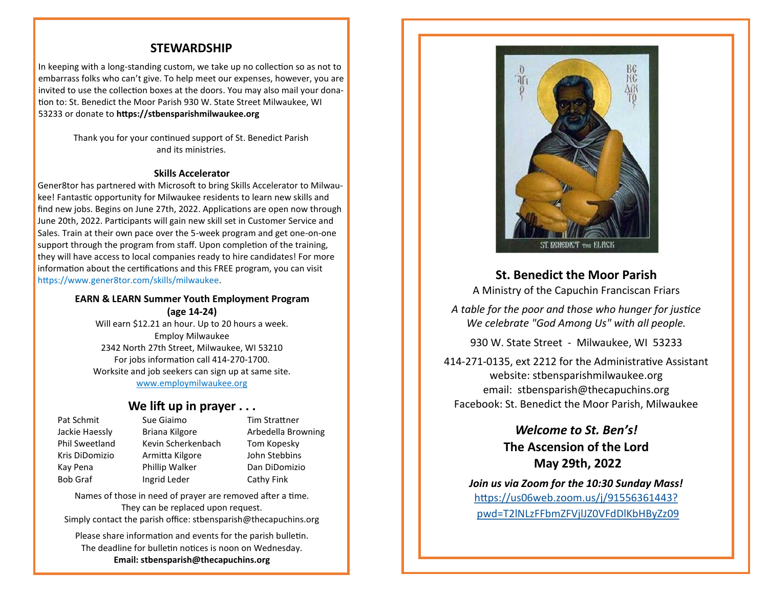### **STEWARDSHIP**

In keeping with a long-standing custom, we take up no collection so as not to embarrass folks who can't give. To help meet our expenses, however, you are invited to use the collection boxes at the doors. You may also mail your donation to: St. Benedict the Moor Parish 930 W. State Street Milwaukee, WI 53233 or donate to **https://stbensparishmilwaukee.org**

> Thank you for your continued support of St. Benedict Parish and its ministries.

#### **Skills Accelerator**

Gener8tor has partnered with Microsoft to bring Skills Accelerator to Milwaukee! Fantastic opportunity for Milwaukee residents to learn new skills and find new jobs. Begins on June 27th, 2022. Applications are open now through June 20th, 2022. Participants will gain new skill set in Customer Service and Sales. Train at their own pace over the 5-week program and get one-on-one support through the program from staff. Upon completion of the training, they will have access to local companies ready to hire candidates! For more information about the certifications and this FREE program, you can visit https://www.gener8tor.com/skills/milwaukee.

#### **EARN & LEARN Summer Youth Employment Program (age 14-24)**

Will earn \$12.21 an hour. Up to 20 hours a week. Employ Milwaukee 2342 North 27th Street, Milwaukee, WI 53210 For jobs information call 414-270-1700. Worksite and job seekers can sign up at same site. [www.employmilwaukee.org](http://www.employmilwaukee.org)

### **We lift up in prayer . . .**

Pat Schmit Sue Giaimo Tim Strattner Jackie Haessly Briana Kilgore Arbedella Browning Phil Sweetland Kevin Scherkenbach Tom Kopesky Kris DiDomizio Armitta Kilgore John Stebbins Kay Pena Phillip Walker Dan DiDomizio Bob Graf Ingrid Leder Cathy Fink

Names of those in need of prayer are removed after a time. They can be replaced upon request.

Simply contact the parish office: stbensparish@thecapuchins.org

Please share information and events for the parish bulletin. The deadline for bulletin notices is noon on Wednesday. **Email: stbensparish@thecapuchins.org**



**St. Benedict the Moor Parish**

A Ministry of the Capuchin Franciscan Friars

*A table for the poor and those who hunger for justice We celebrate "God Among Us" with all people.* 

930 W. State Street - Milwaukee, WI 53233

414-271-0135, ext 2212 for the Administrative Assistant website: stbensparishmilwaukee.org email: stbensparish@thecapuchins.org Facebook: St. Benedict the Moor Parish, Milwaukee

> *Welcome to St. Ben's!* **The Ascension of the Lord May 29th, 2022**

*Join us via Zoom for the 10:30 Sunday Mass!* [https://us06web.zoom.us/j/91556361443?](https://us06web.zoom.us/j/91556361443?pwd=T2lNLzFFbmZFVjlJZ0VFdDlKbHByZz09)  [pwd=T2lNLzFFbmZFVjlJZ0VFdDlKbHByZz09](https://us06web.zoom.us/j/91556361443?pwd=T2lNLzFFbmZFVjlJZ0VFdDlKbHByZz09)